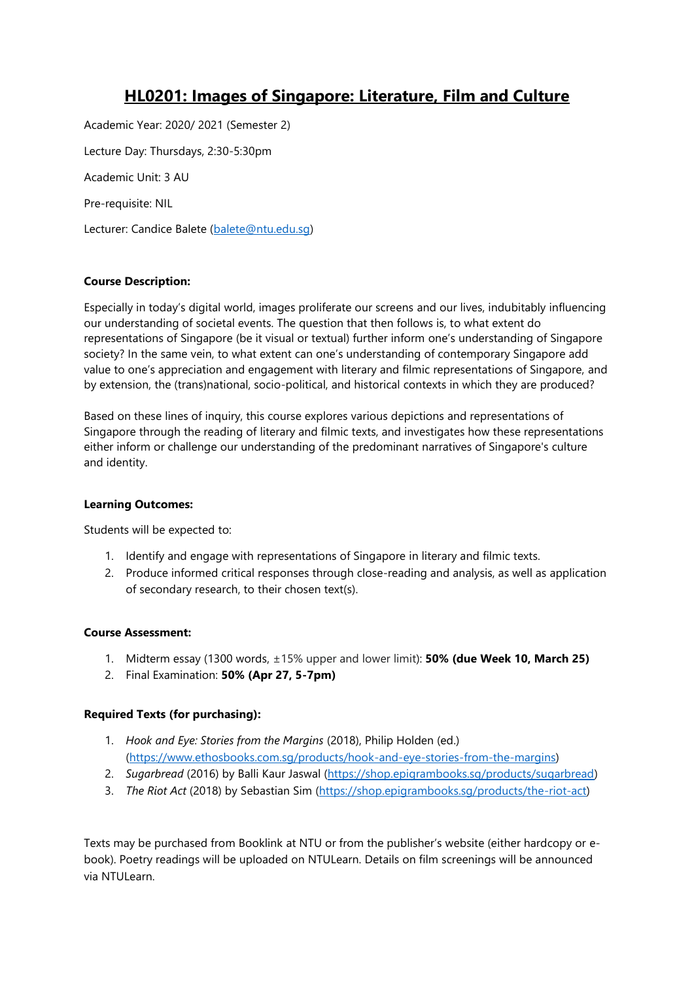# **HL0201: Images of Singapore: Literature, Film and Culture**

Academic Year: 2020/ 2021 (Semester 2) Lecture Day: Thursdays, 2:30-5:30pm Academic Unit: 3 AU Pre-requisite: NIL Lecturer: Candice Balete [\(balete@ntu.edu.sg\)](mailto:balete@ntu.edu.sg)

## **Course Description:**

Especially in today's digital world, images proliferate our screens and our lives, indubitably influencing our understanding of societal events. The question that then follows is, to what extent do representations of Singapore (be it visual or textual) further inform one's understanding of Singapore society? In the same vein, to what extent can one's understanding of contemporary Singapore add value to one's appreciation and engagement with literary and filmic representations of Singapore, and by extension, the (trans)national, socio-political, and historical contexts in which they are produced?

Based on these lines of inquiry, this course explores various depictions and representations of Singapore through the reading of literary and filmic texts, and investigates how these representations either inform or challenge our understanding of the predominant narratives of Singapore's culture and identity.

#### **Learning Outcomes:**

Students will be expected to:

- 1. Identify and engage with representations of Singapore in literary and filmic texts.
- 2. Produce informed critical responses through close-reading and analysis, as well as application of secondary research, to their chosen text(s).

#### **Course Assessment:**

- 1. Midterm essay (1300 words, ±15% upper and lower limit): **50% (due Week 10, March 25)**
- 2. Final Examination: **50% (Apr 27, 5-7pm)**

#### **Required Texts (for purchasing):**

- 1. *Hook and Eye: Stories from the Margins* (2018), Philip Holden (ed.) [\(https://www.ethosbooks.com.sg/products/hook-and-eye-stories-from-the-margins\)](https://www.ethosbooks.com.sg/products/hook-and-eye-stories-from-the-margins)
- 2. *Sugarbread* (2016) by Balli Kaur Jaswal [\(https://shop.epigrambooks.sg/products/sugarbread\)](https://shop.epigrambooks.sg/products/sugarbread)
- 3. *The Riot Act* (2018) by Sebastian Sim [\(https://shop.epigrambooks.sg/products/the-riot-act\)](https://shop.epigrambooks.sg/products/the-riot-act)

Texts may be purchased from Booklink at NTU or from the publisher's website (either hardcopy or ebook). Poetry readings will be uploaded on NTULearn. Details on film screenings will be announced via NTULearn.